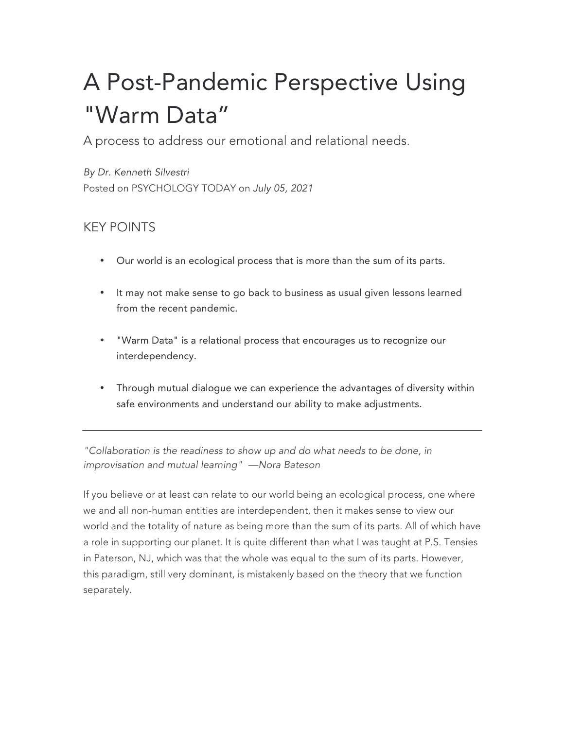## A Post-Pandemic Perspective Using "Warm Data"

A process to address our emotional and relational needs.

*By Dr. Kenneth Silvestri* Posted on PSYCHOLOGY TODAY on *July 05, 2021*

## KEY POINTS

- Our world is an ecological process that is more than the sum of its parts.
- It may not make sense to go back to business as usual given lessons learned from the recent pandemic.
- "Warm Data" is a relational process that encourages us to recognize our interdependency.
- Through mutual dialogue we can experience the advantages of diversity within safe environments and understand our ability to make adjustments.

*"Collaboration is the readiness to show up and do what needs to be done, in improvisation and mutual learning" —Nora Bateson*

If you believe or at least can relate to our world being an ecological process, one where we and all non-human entities are interdependent, then it makes sense to view our world and the totality of nature as being more than the sum of its parts. All of which have a role in supporting our planet. It is quite different than what I was taught at P.S. Tensies in Paterson, NJ, which was that the whole was equal to the sum of its parts. However, this paradigm, still very dominant, is mistakenly based on the theory that we function separately.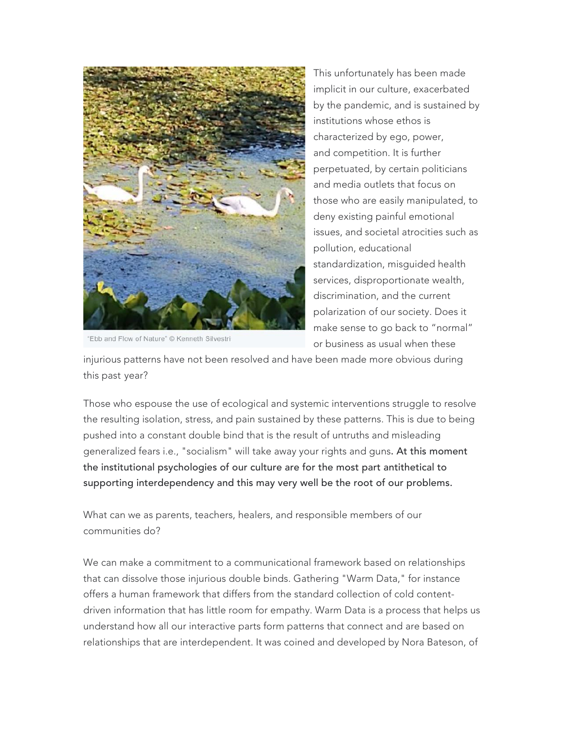

Ebb and Flow of Nature" © Kenneth Silvestri

This unfortunately has been made implicit in our culture, exacerbated by the pandemic, and is sustained by institutions whose ethos is characterized by ego, power, and competition. It is further perpetuated, by certain politicians and media outlets that focus on those who are easily manipulated, to deny existing painful emotional issues, and societal atrocities such as pollution, educational standardization, misguided health services, disproportionate wealth, discrimination, and the current polarization of our society. Does it make sense to go back to "normal" or business as usual when these

injurious patterns have not been resolved and have been made more obvious during this past year?

Those who espouse the use of ecological and systemic interventions struggle to resolve the resulting isolation, stress, and pain sustained by these patterns. This is due to being pushed into a constant double bind that is the result of untruths and misleading generalized fears i.e., "socialism" will take away your rights and guns. At this moment the institutional psychologies of our culture are for the most part antithetical to supporting interdependency and this may very well be the root of our problems.

What can we as parents, teachers, healers, and responsible members of our communities do?

We can make a commitment to a communicational framework based on relationships that can dissolve those injurious double binds. Gathering "Warm Data," for instance offers a human framework that differs from the standard collection of cold contentdriven information that has little room for empathy. Warm Data is a process that helps us understand how all our interactive parts form patterns that connect and are based on relationships that are interdependent. It was coined and developed by Nora Bateson, of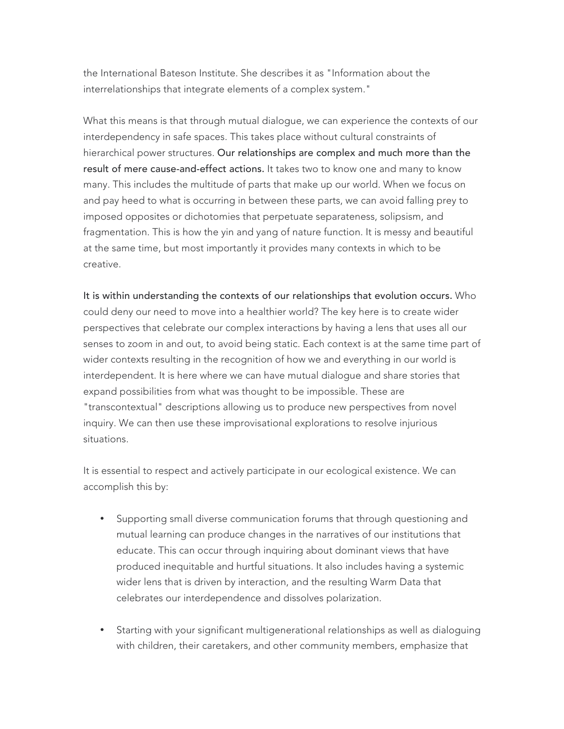the International Bateson Institute. She describes it as "Information about the interrelationships that integrate elements of a complex system."

What this means is that through mutual dialogue, we can experience the contexts of our interdependency in safe spaces. This takes place without cultural constraints of hierarchical power structures. Our relationships are complex and much more than the result of mere cause-and-effect actions. It takes two to know one and many to know many. This includes the multitude of parts that make up our world. When we focus on and pay heed to what is occurring in between these parts, we can avoid falling prey to imposed opposites or dichotomies that perpetuate separateness, solipsism, and fragmentation. This is how the yin and yang of nature function. It is messy and beautiful at the same time, but most importantly it provides many contexts in which to be creative.

It is within understanding the contexts of our relationships that evolution occurs. Who could deny our need to move into a healthier world? The key here is to create wider perspectives that celebrate our complex interactions by having a lens that uses all our senses to zoom in and out, to avoid being static. Each context is at the same time part of wider contexts resulting in the recognition of how we and everything in our world is interdependent. It is here where we can have mutual dialogue and share stories that expand possibilities from what was thought to be impossible. These are "transcontextual" descriptions allowing us to produce new perspectives from novel inquiry. We can then use these improvisational explorations to resolve injurious situations.

It is essential to respect and actively participate in our ecological existence. We can accomplish this by:

- Supporting small diverse communication forums that through questioning and mutual learning can produce changes in the narratives of our institutions that educate. This can occur through inquiring about dominant views that have produced inequitable and hurtful situations. It also includes having a systemic wider lens that is driven by interaction, and the resulting Warm Data that celebrates our interdependence and dissolves polarization.
- Starting with your significant multigenerational relationships as well as dialoguing with children, their caretakers, and other community members, emphasize that